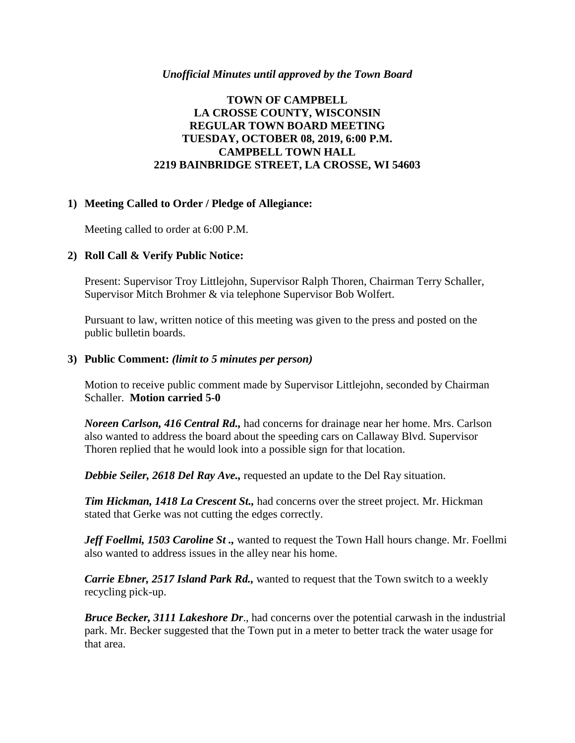#### *Unofficial Minutes until approved by the Town Board*

# **TOWN OF CAMPBELL LA CROSSE COUNTY, WISCONSIN REGULAR TOWN BOARD MEETING TUESDAY, OCTOBER 08, 2019, 6:00 P.M. CAMPBELL TOWN HALL 2219 BAINBRIDGE STREET, LA CROSSE, WI 54603**

## **1) Meeting Called to Order / Pledge of Allegiance:**

Meeting called to order at 6:00 P.M.

## **2) Roll Call & Verify Public Notice:**

Present: Supervisor Troy Littlejohn, Supervisor Ralph Thoren, Chairman Terry Schaller, Supervisor Mitch Brohmer & via telephone Supervisor Bob Wolfert.

Pursuant to law, written notice of this meeting was given to the press and posted on the public bulletin boards.

#### **3) Public Comment:** *(limit to 5 minutes per person)*

Motion to receive public comment made by Supervisor Littlejohn, seconded by Chairman Schaller. **Motion carried 5-0**

*Noreen Carlson, 416 Central Rd.,* had concerns for drainage near her home. Mrs. Carlson also wanted to address the board about the speeding cars on Callaway Blvd. Supervisor Thoren replied that he would look into a possible sign for that location.

*Debbie Seiler, 2618 Del Ray Ave., requested an update to the Del Ray situation.* 

*Tim Hickman, 1418 La Crescent St.,* had concerns over the street project. Mr. Hickman stated that Gerke was not cutting the edges correctly.

*Jeff Foellmi, 1503 Caroline St .,* wanted to request the Town Hall hours change. Mr. Foellmi also wanted to address issues in the alley near his home.

*Carrie Ebner, 2517 Island Park Rd.,* wanted to request that the Town switch to a weekly recycling pick-up.

*Bruce Becker, 3111 Lakeshore Dr*., had concerns over the potential carwash in the industrial park. Mr. Becker suggested that the Town put in a meter to better track the water usage for that area.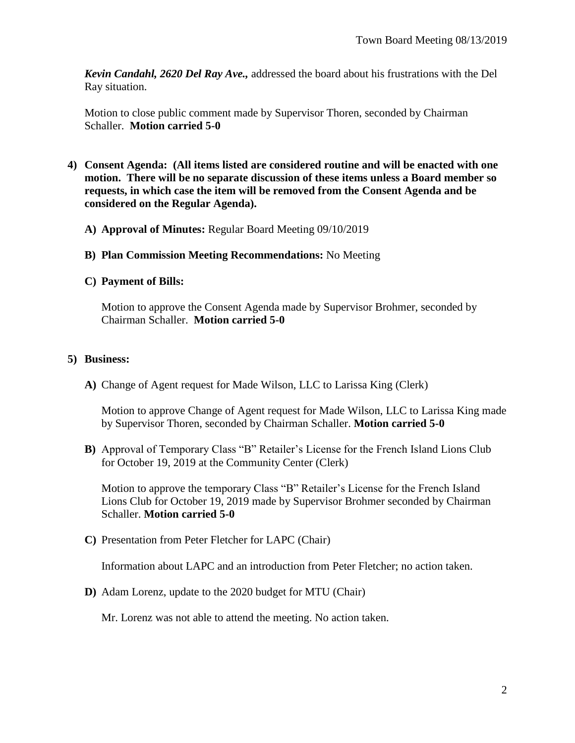*Kevin Candahl, 2620 Del Ray Ave.,* addressed the board about his frustrations with the Del Ray situation.

Motion to close public comment made by Supervisor Thoren, seconded by Chairman Schaller. **Motion carried 5-0**

- **4) Consent Agenda: (All items listed are considered routine and will be enacted with one motion. There will be no separate discussion of these items unless a Board member so requests, in which case the item will be removed from the Consent Agenda and be considered on the Regular Agenda).**
	- **A) Approval of Minutes:** Regular Board Meeting 09/10/2019
	- **B) Plan Commission Meeting Recommendations:** No Meeting
	- **C) Payment of Bills:**

Motion to approve the Consent Agenda made by Supervisor Brohmer, seconded by Chairman Schaller. **Motion carried 5-0**

## **5) Business:**

**A)** Change of Agent request for Made Wilson, LLC to Larissa King (Clerk)

Motion to approve Change of Agent request for Made Wilson, LLC to Larissa King made by Supervisor Thoren, seconded by Chairman Schaller. **Motion carried 5-0**

**B)** Approval of Temporary Class "B" Retailer's License for the French Island Lions Club for October 19, 2019 at the Community Center (Clerk)

Motion to approve the temporary Class "B" Retailer's License for the French Island Lions Club for October 19, 2019 made by Supervisor Brohmer seconded by Chairman Schaller. **Motion carried 5-0**

**C)** Presentation from Peter Fletcher for LAPC (Chair)

Information about LAPC and an introduction from Peter Fletcher; no action taken.

**D)** Adam Lorenz, update to the 2020 budget for MTU (Chair)

Mr. Lorenz was not able to attend the meeting. No action taken.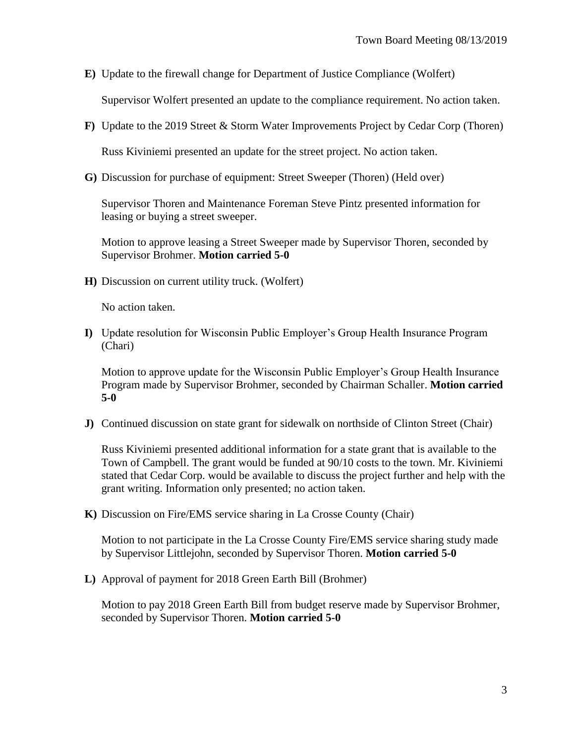**E)** Update to the firewall change for Department of Justice Compliance (Wolfert)

Supervisor Wolfert presented an update to the compliance requirement. No action taken.

**F)** Update to the 2019 Street & Storm Water Improvements Project by Cedar Corp (Thoren)

Russ Kiviniemi presented an update for the street project. No action taken.

**G)** Discussion for purchase of equipment: Street Sweeper (Thoren) (Held over)

Supervisor Thoren and Maintenance Foreman Steve Pintz presented information for leasing or buying a street sweeper.

Motion to approve leasing a Street Sweeper made by Supervisor Thoren, seconded by Supervisor Brohmer. **Motion carried 5-0**

**H)** Discussion on current utility truck. (Wolfert)

No action taken.

**I)** Update resolution for Wisconsin Public Employer's Group Health Insurance Program (Chari)

Motion to approve update for the Wisconsin Public Employer's Group Health Insurance Program made by Supervisor Brohmer, seconded by Chairman Schaller. **Motion carried 5-0**

**J)** Continued discussion on state grant for sidewalk on northside of Clinton Street (Chair)

Russ Kiviniemi presented additional information for a state grant that is available to the Town of Campbell. The grant would be funded at 90/10 costs to the town. Mr. Kiviniemi stated that Cedar Corp. would be available to discuss the project further and help with the grant writing. Information only presented; no action taken.

**K)** Discussion on Fire/EMS service sharing in La Crosse County (Chair)

Motion to not participate in the La Crosse County Fire/EMS service sharing study made by Supervisor Littlejohn, seconded by Supervisor Thoren. **Motion carried 5-0**

**L)** Approval of payment for 2018 Green Earth Bill (Brohmer)

Motion to pay 2018 Green Earth Bill from budget reserve made by Supervisor Brohmer, seconded by Supervisor Thoren. **Motion carried 5-0**